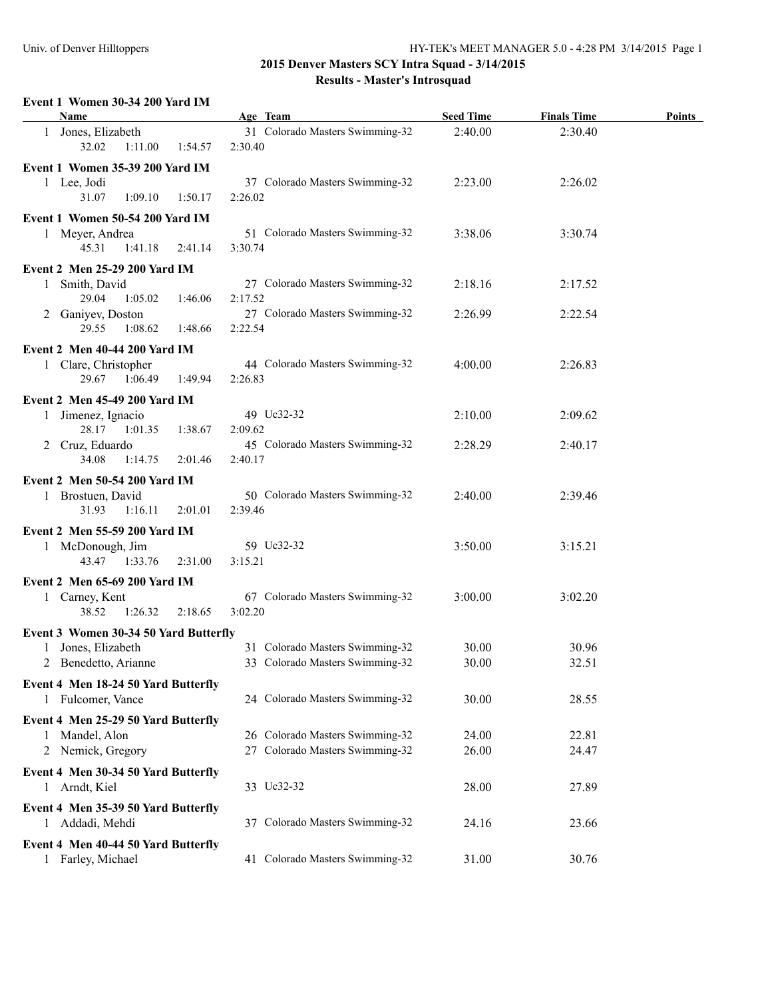#### **Event 1 Women 30-34 200 Yard IM**

| 31 Colorado Masters Swimming-32<br>2:40.00<br>2:30.40<br>1 Jones, Elizabeth<br>32.02<br>1:11.00<br>1:54.57<br>2:30.40<br>Event 1 Women 35-39 200 Yard IM<br>37 Colorado Masters Swimming-32<br>1 Lee, Jodi<br>2:23.00<br>2:26.02<br>31.07<br>2:26.02<br>1:09.10<br>1:50.17<br>Event 1 Women 50-54 200 Yard IM<br>51 Colorado Masters Swimming-32<br>1 Meyer, Andrea<br>3:38.06<br>3:30.74<br>45.31<br>1:41.18<br>2:41.14<br>3:30.74<br><b>Event 2 Men 25-29 200 Yard IM</b><br>Smith, David<br>27 Colorado Masters Swimming-32<br>2:18.16<br>2:17.52<br>1<br>29.04<br>1:05.02<br>1:46.06<br>2:17.52<br>27 Colorado Masters Swimming-32<br>2 Ganiyev, Doston<br>2:26.99<br>2:22.54<br>29.55<br>1:08.62<br>1:48.66<br>2:22.54<br><b>Event 2 Men 40-44 200 Yard IM</b><br>44 Colorado Masters Swimming-32<br>1 Clare, Christopher<br>4:00.00<br>2:26.83<br>29.67<br>1:06.49<br>1:49.94<br>2:26.83<br><b>Event 2 Men 45-49 200 Yard IM</b><br>49 Uc32-32<br>Jimenez, Ignacio<br>2:10.00<br>2:09.62<br>$\mathbf{1}$<br>28.17<br>1:01.35<br>1:38.67<br>2:09.62<br>45 Colorado Masters Swimming-32<br>2 Cruz, Eduardo<br>2:28.29<br>2:40.17<br>34.08<br>1:14.75<br>2:01.46<br>2:40.17<br><b>Event 2 Men 50-54 200 Yard IM</b><br>50 Colorado Masters Swimming-32<br>1 Brostuen, David<br>2:40.00<br>2:39.46<br>31.93<br>1:16.11<br>2:01.01<br>2:39.46<br>Event 2 Men 55-59 200 Yard IM<br>59 Uc32-32<br>3:50.00<br>1 McDonough, Jim<br>3:15.21<br>43.47<br>1:33.76<br>2:31.00<br>3:15.21<br>Event 2 Men 65-69 200 Yard IM<br>67 Colorado Masters Swimming-32<br>3:00.00<br>3:02.20<br>1 Carney, Kent<br>38.52<br>1:26.32<br>2:18.65<br>3:02.20<br>Event 3 Women 30-34 50 Yard Butterfly<br>31 Colorado Masters Swimming-32<br>Jones, Elizabeth<br>30.00<br>30.96<br>2 Benedetto, Arianne<br>33 Colorado Masters Swimming-32<br>30.00<br>32.51<br>Event 4 Men 18-24 50 Yard Butterfly<br>24 Colorado Masters Swimming-32<br>1 Fulcomer, Vance<br>30.00<br>28.55<br>Event 4 Men 25-29 50 Yard Butterfly<br>26 Colorado Masters Swimming-32<br>24.00<br>22.81<br>Mandel, Alon<br>1.<br>27 Colorado Masters Swimming-32<br>26.00<br>2 Nemick, Gregory<br>24.47<br>Event 4 Men 30-34 50 Yard Butterfly | <b>Name</b>   |  | Age Team   | <b>Seed Time</b> | <b>Finals Time</b> | <b>Points</b> |
|--------------------------------------------------------------------------------------------------------------------------------------------------------------------------------------------------------------------------------------------------------------------------------------------------------------------------------------------------------------------------------------------------------------------------------------------------------------------------------------------------------------------------------------------------------------------------------------------------------------------------------------------------------------------------------------------------------------------------------------------------------------------------------------------------------------------------------------------------------------------------------------------------------------------------------------------------------------------------------------------------------------------------------------------------------------------------------------------------------------------------------------------------------------------------------------------------------------------------------------------------------------------------------------------------------------------------------------------------------------------------------------------------------------------------------------------------------------------------------------------------------------------------------------------------------------------------------------------------------------------------------------------------------------------------------------------------------------------------------------------------------------------------------------------------------------------------------------------------------------------------------------------------------------------------------------------------------------------------------------------------------------------------------------------------------------------------------------------------------------------------------------------------------------------------------------------|---------------|--|------------|------------------|--------------------|---------------|
|                                                                                                                                                                                                                                                                                                                                                                                                                                                                                                                                                                                                                                                                                                                                                                                                                                                                                                                                                                                                                                                                                                                                                                                                                                                                                                                                                                                                                                                                                                                                                                                                                                                                                                                                                                                                                                                                                                                                                                                                                                                                                                                                                                                            |               |  |            |                  |                    |               |
|                                                                                                                                                                                                                                                                                                                                                                                                                                                                                                                                                                                                                                                                                                                                                                                                                                                                                                                                                                                                                                                                                                                                                                                                                                                                                                                                                                                                                                                                                                                                                                                                                                                                                                                                                                                                                                                                                                                                                                                                                                                                                                                                                                                            |               |  |            |                  |                    |               |
|                                                                                                                                                                                                                                                                                                                                                                                                                                                                                                                                                                                                                                                                                                                                                                                                                                                                                                                                                                                                                                                                                                                                                                                                                                                                                                                                                                                                                                                                                                                                                                                                                                                                                                                                                                                                                                                                                                                                                                                                                                                                                                                                                                                            |               |  |            |                  |                    |               |
|                                                                                                                                                                                                                                                                                                                                                                                                                                                                                                                                                                                                                                                                                                                                                                                                                                                                                                                                                                                                                                                                                                                                                                                                                                                                                                                                                                                                                                                                                                                                                                                                                                                                                                                                                                                                                                                                                                                                                                                                                                                                                                                                                                                            |               |  |            |                  |                    |               |
|                                                                                                                                                                                                                                                                                                                                                                                                                                                                                                                                                                                                                                                                                                                                                                                                                                                                                                                                                                                                                                                                                                                                                                                                                                                                                                                                                                                                                                                                                                                                                                                                                                                                                                                                                                                                                                                                                                                                                                                                                                                                                                                                                                                            |               |  |            |                  |                    |               |
|                                                                                                                                                                                                                                                                                                                                                                                                                                                                                                                                                                                                                                                                                                                                                                                                                                                                                                                                                                                                                                                                                                                                                                                                                                                                                                                                                                                                                                                                                                                                                                                                                                                                                                                                                                                                                                                                                                                                                                                                                                                                                                                                                                                            |               |  |            |                  |                    |               |
|                                                                                                                                                                                                                                                                                                                                                                                                                                                                                                                                                                                                                                                                                                                                                                                                                                                                                                                                                                                                                                                                                                                                                                                                                                                                                                                                                                                                                                                                                                                                                                                                                                                                                                                                                                                                                                                                                                                                                                                                                                                                                                                                                                                            |               |  |            |                  |                    |               |
|                                                                                                                                                                                                                                                                                                                                                                                                                                                                                                                                                                                                                                                                                                                                                                                                                                                                                                                                                                                                                                                                                                                                                                                                                                                                                                                                                                                                                                                                                                                                                                                                                                                                                                                                                                                                                                                                                                                                                                                                                                                                                                                                                                                            |               |  |            |                  |                    |               |
|                                                                                                                                                                                                                                                                                                                                                                                                                                                                                                                                                                                                                                                                                                                                                                                                                                                                                                                                                                                                                                                                                                                                                                                                                                                                                                                                                                                                                                                                                                                                                                                                                                                                                                                                                                                                                                                                                                                                                                                                                                                                                                                                                                                            |               |  |            |                  |                    |               |
|                                                                                                                                                                                                                                                                                                                                                                                                                                                                                                                                                                                                                                                                                                                                                                                                                                                                                                                                                                                                                                                                                                                                                                                                                                                                                                                                                                                                                                                                                                                                                                                                                                                                                                                                                                                                                                                                                                                                                                                                                                                                                                                                                                                            |               |  |            |                  |                    |               |
|                                                                                                                                                                                                                                                                                                                                                                                                                                                                                                                                                                                                                                                                                                                                                                                                                                                                                                                                                                                                                                                                                                                                                                                                                                                                                                                                                                                                                                                                                                                                                                                                                                                                                                                                                                                                                                                                                                                                                                                                                                                                                                                                                                                            |               |  |            |                  |                    |               |
|                                                                                                                                                                                                                                                                                                                                                                                                                                                                                                                                                                                                                                                                                                                                                                                                                                                                                                                                                                                                                                                                                                                                                                                                                                                                                                                                                                                                                                                                                                                                                                                                                                                                                                                                                                                                                                                                                                                                                                                                                                                                                                                                                                                            |               |  |            |                  |                    |               |
|                                                                                                                                                                                                                                                                                                                                                                                                                                                                                                                                                                                                                                                                                                                                                                                                                                                                                                                                                                                                                                                                                                                                                                                                                                                                                                                                                                                                                                                                                                                                                                                                                                                                                                                                                                                                                                                                                                                                                                                                                                                                                                                                                                                            |               |  |            |                  |                    |               |
|                                                                                                                                                                                                                                                                                                                                                                                                                                                                                                                                                                                                                                                                                                                                                                                                                                                                                                                                                                                                                                                                                                                                                                                                                                                                                                                                                                                                                                                                                                                                                                                                                                                                                                                                                                                                                                                                                                                                                                                                                                                                                                                                                                                            |               |  |            |                  |                    |               |
|                                                                                                                                                                                                                                                                                                                                                                                                                                                                                                                                                                                                                                                                                                                                                                                                                                                                                                                                                                                                                                                                                                                                                                                                                                                                                                                                                                                                                                                                                                                                                                                                                                                                                                                                                                                                                                                                                                                                                                                                                                                                                                                                                                                            |               |  |            |                  |                    |               |
|                                                                                                                                                                                                                                                                                                                                                                                                                                                                                                                                                                                                                                                                                                                                                                                                                                                                                                                                                                                                                                                                                                                                                                                                                                                                                                                                                                                                                                                                                                                                                                                                                                                                                                                                                                                                                                                                                                                                                                                                                                                                                                                                                                                            |               |  |            |                  |                    |               |
|                                                                                                                                                                                                                                                                                                                                                                                                                                                                                                                                                                                                                                                                                                                                                                                                                                                                                                                                                                                                                                                                                                                                                                                                                                                                                                                                                                                                                                                                                                                                                                                                                                                                                                                                                                                                                                                                                                                                                                                                                                                                                                                                                                                            |               |  |            |                  |                    |               |
|                                                                                                                                                                                                                                                                                                                                                                                                                                                                                                                                                                                                                                                                                                                                                                                                                                                                                                                                                                                                                                                                                                                                                                                                                                                                                                                                                                                                                                                                                                                                                                                                                                                                                                                                                                                                                                                                                                                                                                                                                                                                                                                                                                                            |               |  |            |                  |                    |               |
|                                                                                                                                                                                                                                                                                                                                                                                                                                                                                                                                                                                                                                                                                                                                                                                                                                                                                                                                                                                                                                                                                                                                                                                                                                                                                                                                                                                                                                                                                                                                                                                                                                                                                                                                                                                                                                                                                                                                                                                                                                                                                                                                                                                            |               |  |            |                  |                    |               |
|                                                                                                                                                                                                                                                                                                                                                                                                                                                                                                                                                                                                                                                                                                                                                                                                                                                                                                                                                                                                                                                                                                                                                                                                                                                                                                                                                                                                                                                                                                                                                                                                                                                                                                                                                                                                                                                                                                                                                                                                                                                                                                                                                                                            |               |  |            |                  |                    |               |
|                                                                                                                                                                                                                                                                                                                                                                                                                                                                                                                                                                                                                                                                                                                                                                                                                                                                                                                                                                                                                                                                                                                                                                                                                                                                                                                                                                                                                                                                                                                                                                                                                                                                                                                                                                                                                                                                                                                                                                                                                                                                                                                                                                                            |               |  |            |                  |                    |               |
|                                                                                                                                                                                                                                                                                                                                                                                                                                                                                                                                                                                                                                                                                                                                                                                                                                                                                                                                                                                                                                                                                                                                                                                                                                                                                                                                                                                                                                                                                                                                                                                                                                                                                                                                                                                                                                                                                                                                                                                                                                                                                                                                                                                            |               |  |            |                  |                    |               |
|                                                                                                                                                                                                                                                                                                                                                                                                                                                                                                                                                                                                                                                                                                                                                                                                                                                                                                                                                                                                                                                                                                                                                                                                                                                                                                                                                                                                                                                                                                                                                                                                                                                                                                                                                                                                                                                                                                                                                                                                                                                                                                                                                                                            |               |  |            |                  |                    |               |
|                                                                                                                                                                                                                                                                                                                                                                                                                                                                                                                                                                                                                                                                                                                                                                                                                                                                                                                                                                                                                                                                                                                                                                                                                                                                                                                                                                                                                                                                                                                                                                                                                                                                                                                                                                                                                                                                                                                                                                                                                                                                                                                                                                                            |               |  |            |                  |                    |               |
|                                                                                                                                                                                                                                                                                                                                                                                                                                                                                                                                                                                                                                                                                                                                                                                                                                                                                                                                                                                                                                                                                                                                                                                                                                                                                                                                                                                                                                                                                                                                                                                                                                                                                                                                                                                                                                                                                                                                                                                                                                                                                                                                                                                            |               |  |            |                  |                    |               |
|                                                                                                                                                                                                                                                                                                                                                                                                                                                                                                                                                                                                                                                                                                                                                                                                                                                                                                                                                                                                                                                                                                                                                                                                                                                                                                                                                                                                                                                                                                                                                                                                                                                                                                                                                                                                                                                                                                                                                                                                                                                                                                                                                                                            |               |  |            |                  |                    |               |
|                                                                                                                                                                                                                                                                                                                                                                                                                                                                                                                                                                                                                                                                                                                                                                                                                                                                                                                                                                                                                                                                                                                                                                                                                                                                                                                                                                                                                                                                                                                                                                                                                                                                                                                                                                                                                                                                                                                                                                                                                                                                                                                                                                                            |               |  |            |                  |                    |               |
|                                                                                                                                                                                                                                                                                                                                                                                                                                                                                                                                                                                                                                                                                                                                                                                                                                                                                                                                                                                                                                                                                                                                                                                                                                                                                                                                                                                                                                                                                                                                                                                                                                                                                                                                                                                                                                                                                                                                                                                                                                                                                                                                                                                            | 1 Arndt, Kiel |  | 33 Uc32-32 | 28.00            | 27.89              |               |
| Event 4 Men 35-39 50 Yard Butterfly                                                                                                                                                                                                                                                                                                                                                                                                                                                                                                                                                                                                                                                                                                                                                                                                                                                                                                                                                                                                                                                                                                                                                                                                                                                                                                                                                                                                                                                                                                                                                                                                                                                                                                                                                                                                                                                                                                                                                                                                                                                                                                                                                        |               |  |            |                  |                    |               |
| Addadi, Mehdi<br>37 Colorado Masters Swimming-32<br>24.16<br>23.66                                                                                                                                                                                                                                                                                                                                                                                                                                                                                                                                                                                                                                                                                                                                                                                                                                                                                                                                                                                                                                                                                                                                                                                                                                                                                                                                                                                                                                                                                                                                                                                                                                                                                                                                                                                                                                                                                                                                                                                                                                                                                                                         |               |  |            |                  |                    |               |
| Event 4 Men 40-44 50 Yard Butterfly<br>41 Colorado Masters Swimming-32<br>Farley, Michael<br>31.00<br>30.76                                                                                                                                                                                                                                                                                                                                                                                                                                                                                                                                                                                                                                                                                                                                                                                                                                                                                                                                                                                                                                                                                                                                                                                                                                                                                                                                                                                                                                                                                                                                                                                                                                                                                                                                                                                                                                                                                                                                                                                                                                                                                |               |  |            |                  |                    |               |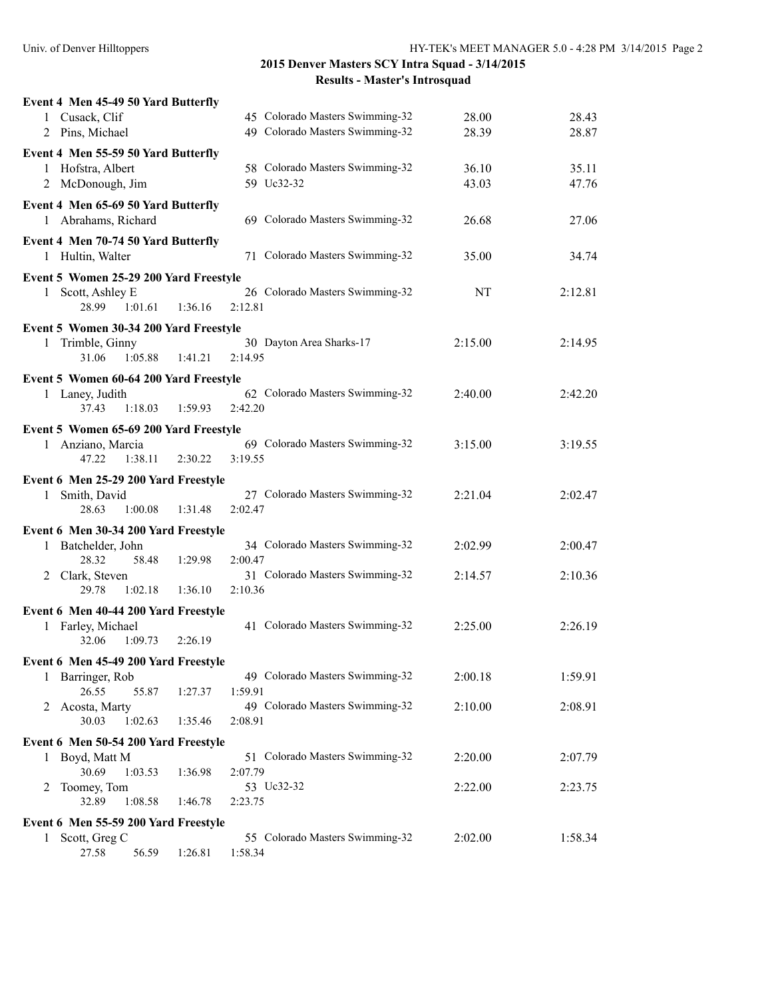|   | Event 4 Men 45-49 50 Yard Butterfly                      |         |                                            |         |         |
|---|----------------------------------------------------------|---------|--------------------------------------------|---------|---------|
|   | 1 Cusack, Clif                                           |         | 45 Colorado Masters Swimming-32            | 28.00   | 28.43   |
|   | 2 Pins, Michael                                          |         | 49 Colorado Masters Swimming-32            | 28.39   | 28.87   |
|   |                                                          |         |                                            |         |         |
|   | Event 4 Men 55-59 50 Yard Butterfly<br>1 Hofstra, Albert |         | 58 Colorado Masters Swimming-32            | 36.10   | 35.11   |
|   |                                                          |         | 59 Uc32-32                                 |         |         |
|   | 2 McDonough, Jim                                         |         |                                            | 43.03   | 47.76   |
|   | Event 4 Men 65-69 50 Yard Butterfly                      |         |                                            |         |         |
|   | 1 Abrahams, Richard                                      |         | 69 Colorado Masters Swimming-32            | 26.68   | 27.06   |
|   | Event 4 Men 70-74 50 Yard Butterfly                      |         |                                            |         |         |
|   | 1 Hultin, Walter                                         |         | 71 Colorado Masters Swimming-32            | 35.00   | 34.74   |
|   | Event 5 Women 25-29 200 Yard Freestyle                   |         |                                            |         |         |
|   | 1 Scott, Ashley E                                        |         | 26 Colorado Masters Swimming-32            | NT      | 2:12.81 |
|   | 28.99<br>1:01.61                                         | 1:36.16 | 2:12.81                                    |         |         |
|   |                                                          |         |                                            |         |         |
|   | Event 5 Women 30-34 200 Yard Freestyle                   |         |                                            |         |         |
|   | 1 Trimble, Ginny                                         |         | 30 Dayton Area Sharks-17                   | 2:15.00 | 2:14.95 |
|   | 31.06<br>1:05.88                                         | 1:41.21 | 2:14.95                                    |         |         |
|   | Event 5 Women 60-64 200 Yard Freestyle                   |         |                                            |         |         |
|   | 1 Laney, Judith                                          |         | 62 Colorado Masters Swimming-32            | 2:40.00 | 2:42.20 |
|   | 37.43<br>1:18.03                                         | 1:59.93 | 2:42.20                                    |         |         |
|   | Event 5 Women 65-69 200 Yard Freestyle                   |         |                                            |         |         |
|   | 1 Anziano, Marcia                                        |         | 69 Colorado Masters Swimming-32            | 3:15.00 | 3:19.55 |
|   | 47.22<br>1:38.11                                         | 2:30.22 | 3:19.55                                    |         |         |
|   |                                                          |         |                                            |         |         |
|   | Event 6 Men 25-29 200 Yard Freestyle                     |         |                                            |         |         |
|   | 1 Smith, David<br>28.63<br>1:00.08                       | 1:31.48 | 27 Colorado Masters Swimming-32<br>2:02.47 | 2:21.04 | 2:02.47 |
|   |                                                          |         |                                            |         |         |
|   | Event 6 Men 30-34 200 Yard Freestyle                     |         |                                            |         |         |
|   | 1 Batchelder, John                                       |         | 34 Colorado Masters Swimming-32            | 2:02.99 | 2:00.47 |
|   | 58.48<br>28.32                                           | 1:29.98 | 2:00.47                                    |         |         |
|   | 2 Clark, Steven                                          |         | 31 Colorado Masters Swimming-32            | 2:14.57 | 2:10.36 |
|   | 29.78<br>1:02.18                                         | 1:36.10 | 2:10.36                                    |         |         |
|   | Event 6 Men 40-44 200 Yard Freestyle                     |         |                                            |         |         |
|   | 1 Farley, Michael                                        |         | 41 Colorado Masters Swimming-32            | 2:25.00 | 2:26.19 |
|   | 32.06<br>1:09.73                                         | 2:26.19 |                                            |         |         |
|   | Event 6 Men 45-49 200 Yard Freestyle                     |         |                                            |         |         |
|   | 1 Barringer, Rob                                         |         | 49 Colorado Masters Swimming-32            | 2:00.18 | 1:59.91 |
|   | 26.55<br>55.87                                           | 1:27.37 | 1:59.91                                    |         |         |
|   | 2 Acosta, Marty                                          |         | 49 Colorado Masters Swimming-32            | 2:10.00 | 2:08.91 |
|   | 30.03<br>1:02.63                                         | 1:35.46 | 2:08.91                                    |         |         |
|   | Event 6 Men 50-54 200 Yard Freestyle                     |         |                                            |         |         |
|   | 1 Boyd, Matt M                                           |         | 51 Colorado Masters Swimming-32            | 2:20.00 | 2:07.79 |
|   | 30.69<br>1:03.53                                         | 1:36.98 | 2:07.79                                    |         |         |
| 2 | Toomey, Tom                                              |         | 53 Uc32-32                                 | 2:22.00 | 2:23.75 |
|   | 32.89<br>1:08.58                                         | 1:46.78 | 2:23.75                                    |         |         |
|   |                                                          |         |                                            |         |         |
|   | Event 6 Men 55-59 200 Yard Freestyle                     |         |                                            |         |         |
| 1 | Scott, Greg C                                            |         | 55 Colorado Masters Swimming-32            | 2:02.00 | 1:58.34 |
|   | 27.58<br>56.59                                           | 1:26.81 | 1:58.34                                    |         |         |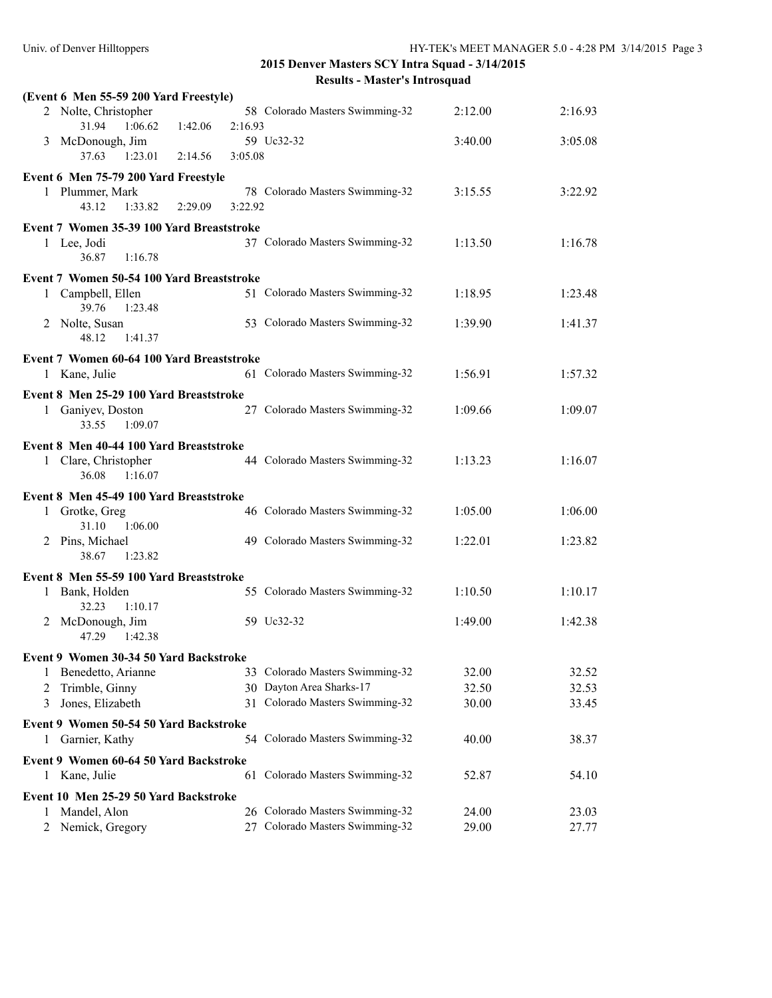|        | (Event 6 Men 55-59 200 Yard Freestyle)    |         |         |                                                             |                |                |
|--------|-------------------------------------------|---------|---------|-------------------------------------------------------------|----------------|----------------|
|        | 2 Nolte, Christopher<br>31.94<br>1:06.62  | 1:42.06 | 2:16.93 | 58 Colorado Masters Swimming-32                             | 2:12.00        | 2:16.93        |
|        | 3 McDonough, Jim                          |         |         | 59 Uc32-32                                                  | 3:40.00        | 3:05.08        |
|        | 37.63<br>1:23.01                          | 2:14.56 | 3:05.08 |                                                             |                |                |
|        | Event 6 Men 75-79 200 Yard Freestyle      |         |         |                                                             |                |                |
|        | 1 Plummer, Mark                           |         |         | 78 Colorado Masters Swimming-32                             | 3:15.55        | 3:22.92        |
|        | 43.12<br>1:33.82                          | 2:29.09 | 3:22.92 |                                                             |                |                |
|        | Event 7 Women 35-39 100 Yard Breaststroke |         |         |                                                             |                |                |
|        | 1 Lee, Jodi                               |         |         | 37 Colorado Masters Swimming-32                             | 1:13.50        | 1:16.78        |
|        | 1:16.78<br>36.87                          |         |         |                                                             |                |                |
|        | Event 7 Women 50-54 100 Yard Breaststroke |         |         |                                                             |                |                |
|        | 1 Campbell, Ellen<br>39.76<br>1:23.48     |         |         | 51 Colorado Masters Swimming-32                             | 1:18.95        | 1:23.48        |
|        | 2 Nolte, Susan<br>1:41.37<br>48.12        |         |         | 53 Colorado Masters Swimming-32                             | 1:39.90        | 1:41.37        |
|        | Event 7 Women 60-64 100 Yard Breaststroke |         |         |                                                             |                |                |
|        | 1 Kane, Julie                             |         |         | 61 Colorado Masters Swimming-32                             | 1:56.91        | 1:57.32        |
|        | Event 8 Men 25-29 100 Yard Breaststroke   |         |         |                                                             |                |                |
|        | 1 Ganiyev, Doston                         |         |         | 27 Colorado Masters Swimming-32                             | 1:09.66        | 1:09.07        |
|        | 33.55<br>1:09.07                          |         |         |                                                             |                |                |
|        | Event 8 Men 40-44 100 Yard Breaststroke   |         |         |                                                             |                |                |
|        | 1 Clare, Christopher                      |         |         | 44 Colorado Masters Swimming-32                             | 1:13.23        | 1:16.07        |
|        | 36.08<br>1:16.07                          |         |         |                                                             |                |                |
|        | Event 8 Men 45-49 100 Yard Breaststroke   |         |         |                                                             |                |                |
|        | 1 Grotke, Greg<br>31.10<br>1:06.00        |         |         | 46 Colorado Masters Swimming-32                             | 1:05.00        | 1:06.00        |
|        | 2 Pins, Michael                           |         |         | 49 Colorado Masters Swimming-32                             | 1:22.01        | 1:23.82        |
|        | 38.67<br>1:23.82                          |         |         |                                                             |                |                |
|        | Event 8 Men 55-59 100 Yard Breaststroke   |         |         |                                                             |                |                |
|        | 1 Bank, Holden                            |         |         | 55 Colorado Masters Swimming-32                             | 1:10.50        | 1:10.17        |
|        | 32.23<br>1:10.17                          |         |         |                                                             |                |                |
|        | 2 McDonough, Jim                          |         |         | 59 Uc32-32                                                  | 1:49.00        | 1:42.38        |
|        | 47.29<br>1:42.38                          |         |         |                                                             |                |                |
|        | Event 9 Women 30-34 50 Yard Backstroke    |         |         |                                                             |                |                |
| 1      | Benedetto, Arianne                        |         |         | 33 Colorado Masters Swimming-32                             | 32.00          | 32.52          |
| 2<br>3 | Trimble, Ginny<br>Jones, Elizabeth        |         |         | 30 Dayton Area Sharks-17<br>31 Colorado Masters Swimming-32 | 32.50<br>30.00 | 32.53<br>33.45 |
|        |                                           |         |         |                                                             |                |                |
|        | Event 9 Women 50-54 50 Yard Backstroke    |         |         |                                                             |                |                |
| 1      | Garnier, Kathy                            |         |         | 54 Colorado Masters Swimming-32                             | 40.00          | 38.37          |
|        | Event 9 Women 60-64 50 Yard Backstroke    |         |         |                                                             |                |                |
|        | 1 Kane, Julie                             |         |         | 61 Colorado Masters Swimming-32                             | 52.87          | 54.10          |
|        | Event 10 Men 25-29 50 Yard Backstroke     |         |         |                                                             |                |                |
| 1      | Mandel, Alon                              |         |         | 26 Colorado Masters Swimming-32                             | 24.00          | 23.03          |
| 2      | Nemick, Gregory                           |         |         | 27 Colorado Masters Swimming-32                             | 29.00          | 27.77          |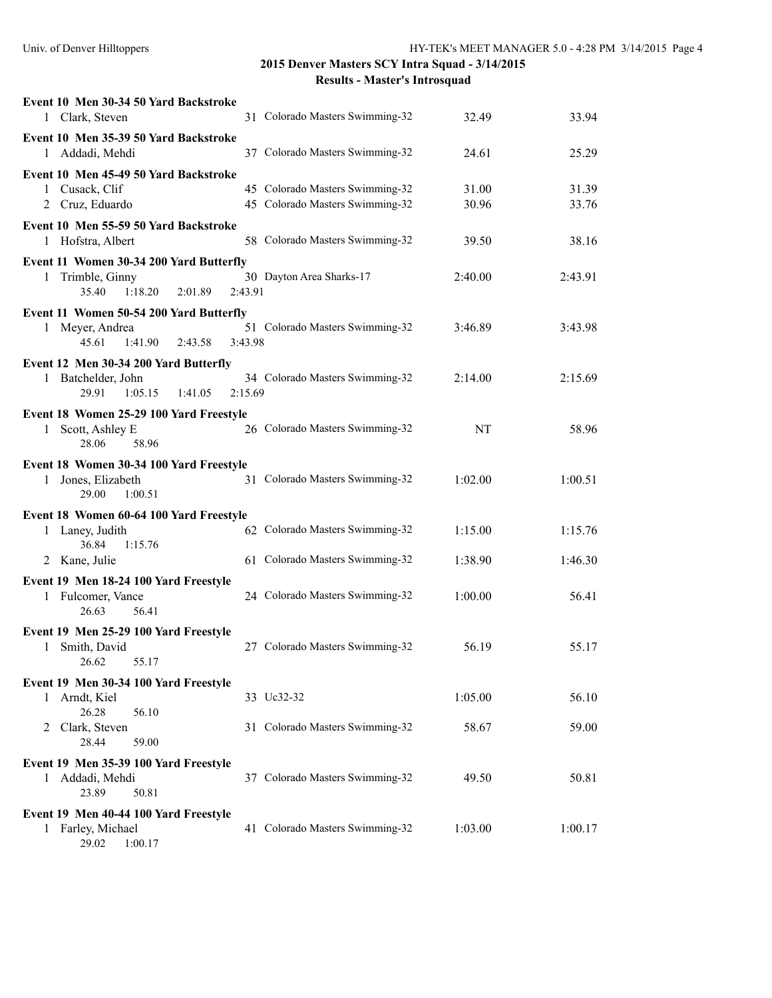| Event 10 Men 30-34 50 Yard Backstroke                                 |                                                                    |           |         |
|-----------------------------------------------------------------------|--------------------------------------------------------------------|-----------|---------|
| 1 Clark, Steven                                                       | 31 Colorado Masters Swimming-32                                    | 32.49     | 33.94   |
| Event 10 Men 35-39 50 Yard Backstroke<br>1 Addadi, Mehdi              | 37 Colorado Masters Swimming-32                                    | 24.61     | 25.29   |
| Event 10 Men 45-49 50 Yard Backstroke                                 |                                                                    |           |         |
| 1 Cusack, Clif                                                        | 45 Colorado Masters Swimming-32<br>45 Colorado Masters Swimming-32 | 31.00     | 31.39   |
| 2 Cruz, Eduardo                                                       |                                                                    | 30.96     | 33.76   |
| Event 10 Men 55-59 50 Yard Backstroke<br>1 Hofstra, Albert            | 58 Colorado Masters Swimming-32                                    | 39.50     | 38.16   |
| Event 11 Women 30-34 200 Yard Butterfly                               |                                                                    |           |         |
| 1 Trimble, Ginny<br>35.40<br>1:18.20<br>2:01.89                       | 30 Dayton Area Sharks-17<br>2:43.91                                | 2:40.00   | 2:43.91 |
| Event 11 Women 50-54 200 Yard Butterfly                               |                                                                    |           |         |
| 1 Meyer, Andrea<br>45.61<br>1:41.90<br>2:43.58                        | 51 Colorado Masters Swimming-32<br>3:43.98                         | 3:46.89   | 3:43.98 |
| Event 12 Men 30-34 200 Yard Butterfly                                 |                                                                    |           |         |
| Batchelder, John<br>1                                                 | 34 Colorado Masters Swimming-32                                    | 2:14.00   | 2:15.69 |
| 29.91<br>1:05.15<br>1:41.05                                           | 2:15.69                                                            |           |         |
| Event 18 Women 25-29 100 Yard Freestyle<br>1 Scott, Ashley E          | 26 Colorado Masters Swimming-32                                    | <b>NT</b> | 58.96   |
| 28.06<br>58.96                                                        |                                                                    |           |         |
| Event 18 Women 30-34 100 Yard Freestyle                               |                                                                    |           |         |
| Jones, Elizabeth<br>$\mathbf{1}$<br>29.00<br>1:00.51                  | 31 Colorado Masters Swimming-32                                    | 1:02.00   | 1:00.51 |
| Event 18 Women 60-64 100 Yard Freestyle                               |                                                                    |           |         |
| Laney, Judith<br>1<br>36.84<br>1:15.76                                | 62 Colorado Masters Swimming-32                                    | 1:15.00   | 1:15.76 |
| 2 Kane, Julie                                                         | 61 Colorado Masters Swimming-32                                    | 1:38.90   | 1:46.30 |
| Event 19 Men 18-24 100 Yard Freestyle                                 |                                                                    |           |         |
| 1 Fulcomer, Vance                                                     | 24 Colorado Masters Swimming-32                                    | 1:00.00   | 56.41   |
| 56.41<br>26.63                                                        |                                                                    |           |         |
| Event 19 Men 25-29 100 Yard Freestyle<br>Smith, David<br>$\mathbf{1}$ | 27 Colorado Masters Swimming-32                                    | 56.19     | 55.17   |
| 26.62<br>55.17                                                        |                                                                    |           |         |
| Event 19 Men 30-34 100 Yard Freestyle                                 |                                                                    |           |         |
| Arndt, Kiel<br>1                                                      | 33 Uc32-32                                                         | 1:05.00   | 56.10   |
| 26.28<br>56.10<br>Clark, Steven<br>2                                  | 31 Colorado Masters Swimming-32                                    | 58.67     | 59.00   |
| 28.44<br>59.00                                                        |                                                                    |           |         |
| Event 19 Men 35-39 100 Yard Freestyle                                 |                                                                    |           |         |
| Addadi, Mehdi<br>1                                                    | 37 Colorado Masters Swimming-32                                    | 49.50     | 50.81   |
| 23.89<br>50.81                                                        |                                                                    |           |         |
| Event 19 Men 40-44 100 Yard Freestyle<br>1 Farley, Michael            | 41 Colorado Masters Swimming-32                                    | 1:03.00   | 1:00.17 |
| 29.02<br>1:00.17                                                      |                                                                    |           |         |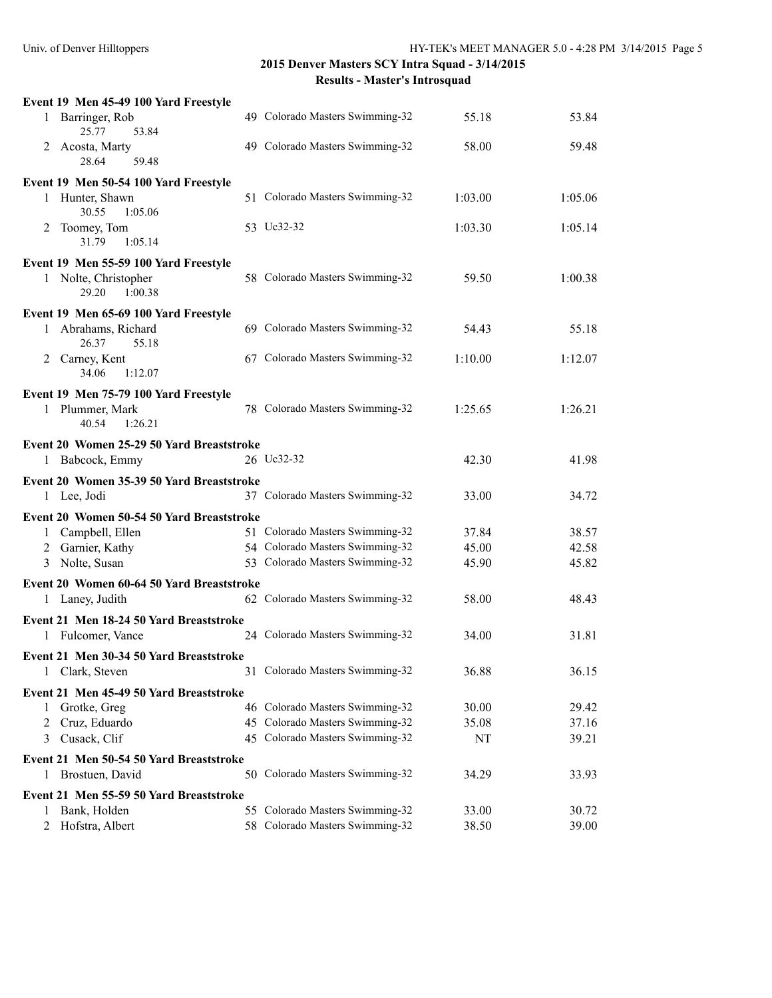| Event 19 Men 45-49 100 Yard Freestyle            |                                 |         |         |
|--------------------------------------------------|---------------------------------|---------|---------|
| Barringer, Rob<br>$\mathbf{1}$<br>25.77<br>53.84 | 49 Colorado Masters Swimming-32 | 55.18   | 53.84   |
| Acosta, Marty<br>2<br>28.64<br>59.48             | 49 Colorado Masters Swimming-32 | 58.00   | 59.48   |
| Event 19 Men 50-54 100 Yard Freestyle            |                                 |         |         |
| 1 Hunter, Shawn<br>30.55<br>1:05.06              | 51 Colorado Masters Swimming-32 | 1:03.00 | 1:05.06 |
| Toomey, Tom<br>2<br>31.79<br>1:05.14             | 53 Uc32-32                      | 1:03.30 | 1:05.14 |
| Event 19 Men 55-59 100 Yard Freestyle            |                                 |         |         |
| 1 Nolte, Christopher<br>1:00.38<br>29.20         | 58 Colorado Masters Swimming-32 | 59.50   | 1:00.38 |
| Event 19 Men 65-69 100 Yard Freestyle            |                                 |         |         |
| Abrahams, Richard<br>1<br>26.37<br>55.18         | 69 Colorado Masters Swimming-32 | 54.43   | 55.18   |
| Carney, Kent<br>2<br>1:12.07<br>34.06            | 67 Colorado Masters Swimming-32 | 1:10.00 | 1:12.07 |
| Event 19 Men 75-79 100 Yard Freestyle            |                                 |         |         |
| 1 Plummer, Mark<br>40.54<br>1:26.21              | 78 Colorado Masters Swimming-32 | 1:25.65 | 1:26.21 |
| Event 20 Women 25-29 50 Yard Breaststroke        |                                 |         |         |
| 1 Babcock, Emmy                                  | 26 Uc32-32                      | 42.30   | 41.98   |
| Event 20 Women 35-39 50 Yard Breaststroke        |                                 |         |         |
| 1 Lee, Jodi                                      | 37 Colorado Masters Swimming-32 | 33.00   | 34.72   |
| Event 20 Women 50-54 50 Yard Breaststroke        |                                 |         |         |
| 1 Campbell, Ellen                                | 51 Colorado Masters Swimming-32 | 37.84   | 38.57   |
| 2 Garnier, Kathy                                 | 54 Colorado Masters Swimming-32 | 45.00   | 42.58   |
| Nolte, Susan<br>3                                | 53 Colorado Masters Swimming-32 | 45.90   | 45.82   |
| Event 20 Women 60-64 50 Yard Breaststroke        |                                 |         |         |
| 1 Laney, Judith                                  | 62 Colorado Masters Swimming-32 | 58.00   | 48.43   |
| Event 21 Men 18-24 50 Yard Breaststroke          |                                 |         |         |
| 1 Fulcomer, Vance                                | 24 Colorado Masters Swimming-32 | 34.00   | 31.81   |
| Event 21 Men 30-34 50 Yard Breaststroke          |                                 |         |         |
| Clark, Steven<br>1                               | 31 Colorado Masters Swimming-32 | 36.88   | 36.15   |
| Event 21 Men 45-49 50 Yard Breaststroke          |                                 |         |         |
| Grotke, Greg<br>1                                | 46 Colorado Masters Swimming-32 | 30.00   | 29.42   |
| Cruz, Eduardo<br>2                               | 45 Colorado Masters Swimming-32 | 35.08   | 37.16   |
| Cusack, Clif<br>3                                | 45 Colorado Masters Swimming-32 | NT      | 39.21   |
| Event 21 Men 50-54 50 Yard Breaststroke          |                                 |         |         |
| Brostuen, David<br>1                             | 50 Colorado Masters Swimming-32 | 34.29   | 33.93   |
| Event 21 Men 55-59 50 Yard Breaststroke          |                                 |         |         |
| Bank, Holden<br>1                                | 55 Colorado Masters Swimming-32 | 33.00   | 30.72   |
| 2 Hofstra, Albert                                | 58 Colorado Masters Swimming-32 | 38.50   | 39.00   |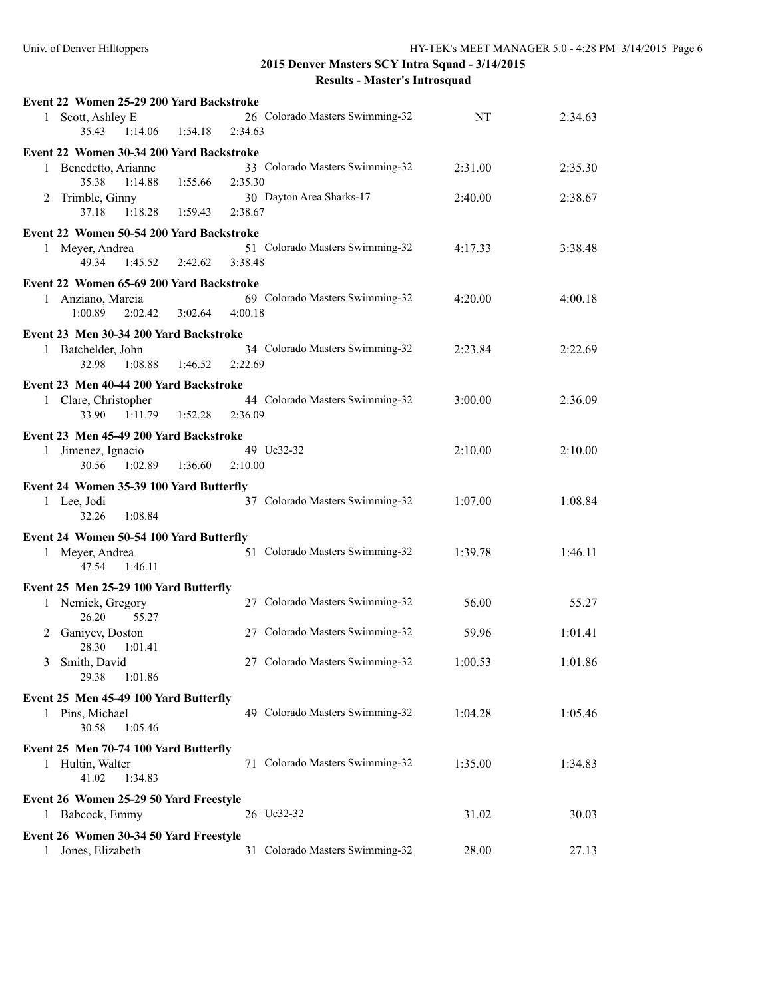|             | Event 22 Women 25-29 200 Yard Backstroke                                                          |                     |                                            |         |         |
|-------------|---------------------------------------------------------------------------------------------------|---------------------|--------------------------------------------|---------|---------|
|             | 1 Scott, Ashley E<br>35.43<br>1:14.06                                                             | 1:54.18             | 26 Colorado Masters Swimming-32<br>2:34.63 | NT      | 2:34.63 |
|             | Event 22 Women 30-34 200 Yard Backstroke                                                          |                     |                                            |         |         |
| 1           | Benedetto, Arianne<br>35.38<br>1:14.88                                                            | 1:55.66             | 33 Colorado Masters Swimming-32<br>2:35.30 | 2:31.00 | 2:35.30 |
|             | 2 Trimble, Ginny<br>37.18<br>1:18.28                                                              | 1:59.43             | 30 Dayton Area Sharks-17<br>2:38.67        | 2:40.00 | 2:38.67 |
|             | Event 22 Women 50-54 200 Yard Backstroke                                                          |                     |                                            |         |         |
|             | 1 Meyer, Andrea<br>49.34<br>1:45.52                                                               | 2:42.62             | 51 Colorado Masters Swimming-32<br>3:38.48 | 4:17.33 | 3:38.48 |
|             | Event 22 Women 65-69 200 Yard Backstroke                                                          |                     |                                            |         |         |
|             | 1 Anziano, Marcia<br>1:00.89<br>2:02.42                                                           | $3:02.64$ $4:00.18$ | 69 Colorado Masters Swimming-32            | 4:20.00 | 4:00.18 |
|             | Event 23 Men 30-34 200 Yard Backstroke                                                            |                     |                                            |         |         |
|             | 1 Batchelder, John<br>1:08.88<br>32.98                                                            | 1:46.52             | 34 Colorado Masters Swimming-32<br>2:22.69 | 2:23.84 | 2:22.69 |
|             | Event 23 Men 40-44 200 Yard Backstroke                                                            |                     |                                            |         |         |
|             | 1 Clare, Christopher<br>33.90<br>1:11.79                                                          | 1:52.28             | 44 Colorado Masters Swimming-32<br>2:36.09 | 3:00.00 | 2:36.09 |
|             | Event 23 Men 45-49 200 Yard Backstroke                                                            |                     |                                            |         |         |
|             | 1 Jimenez, Ignacio<br>30.56<br>1:02.89                                                            | 1:36.60             | 49 Uc32-32<br>2:10.00                      | 2:10.00 | 2:10.00 |
|             | Event 24 Women 35-39 100 Yard Butterfly                                                           |                     |                                            |         |         |
| 1 Lee, Jodi | 32.26<br>1:08.84                                                                                  |                     | 37 Colorado Masters Swimming-32            | 1:07.00 | 1:08.84 |
|             | Event 24 Women 50-54 100 Yard Butterfly                                                           |                     |                                            |         |         |
|             | 1 Meyer, Andrea<br>1:46.11<br>47.54                                                               |                     | 51 Colorado Masters Swimming-32            | 1:39.78 | 1:46.11 |
|             | Event 25 Men 25-29 100 Yard Butterfly                                                             |                     |                                            |         |         |
|             | 1 Nemick, Gregory<br>26.20<br>55.27                                                               |                     | 27 Colorado Masters Swimming-32            | 56.00   | 55.27   |
| 2           | Ganiyev, Doston<br>28.30<br>1:01.41                                                               |                     | 27 Colorado Masters Swimming-32            | 59.96   | 1:01.41 |
| 3           | Smith, David<br>29.38<br>1:01.86                                                                  |                     | 27 Colorado Masters Swimming-32            | 1:00.53 | 1:01.86 |
|             | Event 25 Men 45-49 100 Yard Butterfly                                                             |                     |                                            |         |         |
|             | 1 Pins, Michael<br>30.58<br>1:05.46                                                               |                     | 49 Colorado Masters Swimming-32            | 1:04.28 | 1:05.46 |
|             | Event 25 Men 70-74 100 Yard Butterfly                                                             |                     |                                            |         |         |
|             | 1 Hultin, Walter<br>41.02<br>1:34.83                                                              |                     | 71 Colorado Masters Swimming-32            | 1:35.00 | 1:34.83 |
|             |                                                                                                   |                     |                                            |         |         |
|             |                                                                                                   |                     |                                            |         |         |
| 1           | Event 26 Women 25-29 50 Yard Freestyle<br>Babcock, Emmy<br>Event 26 Women 30-34 50 Yard Freestyle |                     | 26 Uc32-32                                 | 31.02   | 30.03   |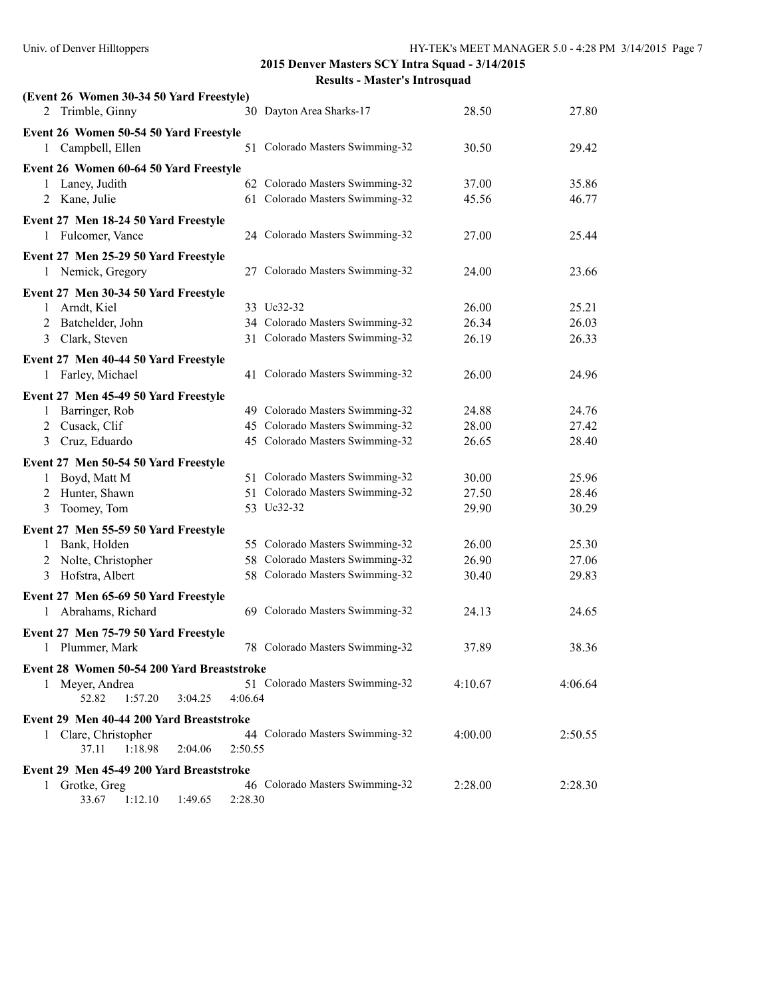| (Event 26 Women 30-34 50 Yard Freestyle)              |         |                                 |         |         |
|-------------------------------------------------------|---------|---------------------------------|---------|---------|
| 2 Trimble, Ginny                                      |         | 30 Dayton Area Sharks-17        | 28.50   | 27.80   |
| Event 26 Women 50-54 50 Yard Freestyle                |         |                                 |         |         |
| 1 Campbell, Ellen                                     |         | 51 Colorado Masters Swimming-32 | 30.50   | 29.42   |
| Event 26 Women 60-64 50 Yard Freestyle                |         |                                 |         |         |
| Laney, Judith<br>1                                    |         | 62 Colorado Masters Swimming-32 | 37.00   | 35.86   |
| 2 Kane, Julie                                         |         | 61 Colorado Masters Swimming-32 | 45.56   | 46.77   |
| Event 27 Men 18-24 50 Yard Freestyle                  |         |                                 |         |         |
| 1 Fulcomer, Vance                                     |         | 24 Colorado Masters Swimming-32 | 27.00   | 25.44   |
| Event 27 Men 25-29 50 Yard Freestyle                  |         |                                 |         |         |
| 1 Nemick, Gregory                                     |         | 27 Colorado Masters Swimming-32 | 24.00   | 23.66   |
|                                                       |         |                                 |         |         |
| Event 27 Men 30-34 50 Yard Freestyle<br>1 Arndt, Kiel |         | 33 Uc32-32                      | 26.00   | 25.21   |
| 2 Batchelder, John                                    |         | 34 Colorado Masters Swimming-32 | 26.34   | 26.03   |
| 3 Clark, Steven                                       |         | 31 Colorado Masters Swimming-32 | 26.19   | 26.33   |
|                                                       |         |                                 |         |         |
| Event 27 Men 40-44 50 Yard Freestyle                  |         |                                 |         |         |
| 1 Farley, Michael                                     |         | 41 Colorado Masters Swimming-32 | 26.00   | 24.96   |
| Event 27 Men 45-49 50 Yard Freestyle                  |         |                                 |         |         |
| Barringer, Rob<br>1                                   |         | 49 Colorado Masters Swimming-32 | 24.88   | 24.76   |
| Cusack, Clif<br>2                                     |         | 45 Colorado Masters Swimming-32 | 28.00   | 27.42   |
| Cruz, Eduardo<br>3                                    |         | 45 Colorado Masters Swimming-32 | 26.65   | 28.40   |
| Event 27 Men 50-54 50 Yard Freestyle                  |         |                                 |         |         |
| 1 Boyd, Matt M                                        |         | 51 Colorado Masters Swimming-32 | 30.00   | 25.96   |
| 2 Hunter, Shawn                                       |         | 51 Colorado Masters Swimming-32 | 27.50   | 28.46   |
| Toomey, Tom<br>3                                      |         | 53 Uc32-32                      | 29.90   | 30.29   |
| Event 27 Men 55-59 50 Yard Freestyle                  |         |                                 |         |         |
| 1 Bank, Holden                                        |         | 55 Colorado Masters Swimming-32 | 26.00   | 25.30   |
| Nolte, Christopher<br>2                               |         | 58 Colorado Masters Swimming-32 | 26.90   | 27.06   |
| 3 Hofstra, Albert                                     |         | 58 Colorado Masters Swimming-32 | 30.40   | 29.83   |
| Event 27 Men 65-69 50 Yard Freestyle                  |         |                                 |         |         |
| 1 Abrahams, Richard                                   |         | 69 Colorado Masters Swimming-32 | 24.13   | 24.65   |
|                                                       |         |                                 |         |         |
| Event 27 Men 75-79 50 Yard Freestyle                  |         | 78 Colorado Masters Swimming-32 |         |         |
| 1 Plummer, Mark                                       |         |                                 | 37.89   | 38.36   |
| Event 28 Women 50-54 200 Yard Breaststroke            |         |                                 |         |         |
| 1 Meyer, Andrea                                       |         | 51 Colorado Masters Swimming-32 | 4:10.67 | 4:06.64 |
| 52.82<br>1:57.20<br>3:04.25                           | 4:06.64 |                                 |         |         |
| Event 29 Men 40-44 200 Yard Breaststroke              |         |                                 |         |         |
| 1 Clare, Christopher                                  |         | 44 Colorado Masters Swimming-32 | 4:00.00 | 2:50.55 |
| 1:18.98<br>37.11<br>2:04.06                           | 2:50.55 |                                 |         |         |
| Event 29 Men 45-49 200 Yard Breaststroke              |         |                                 |         |         |
| 1 Grotke, Greg                                        |         | 46 Colorado Masters Swimming-32 | 2:28.00 | 2:28.30 |
| 33.67<br>1:12.10<br>1:49.65                           | 2:28.30 |                                 |         |         |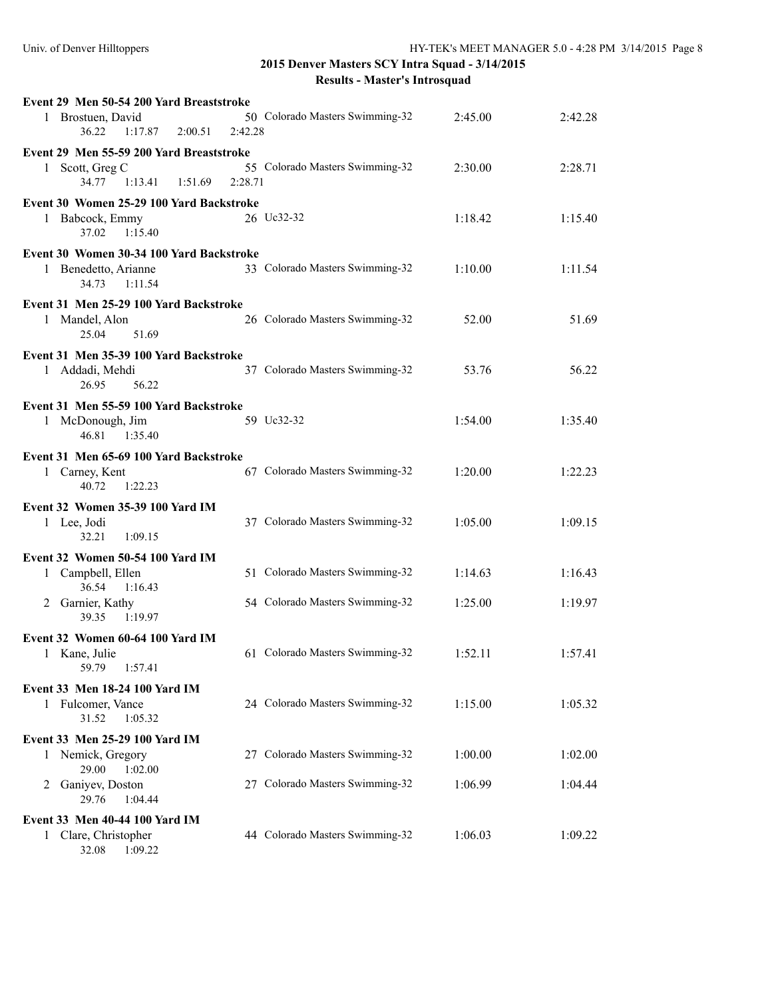32.08 1:09.22

| Event 29 Men 50-54 200 Yard Breaststroke                                                |                                            |         |         |
|-----------------------------------------------------------------------------------------|--------------------------------------------|---------|---------|
| 1 Brostuen, David<br>36.22<br>2:00.51<br>1:17.87                                        | 50 Colorado Masters Swimming-32<br>2:42.28 | 2:45.00 | 2:42.28 |
| Event 29 Men 55-59 200 Yard Breaststroke<br>1 Scott, Greg C<br>34.77 1:13.41<br>1:51.69 | 55 Colorado Masters Swimming-32<br>2:28.71 | 2:30.00 | 2:28.71 |
| Event 30 Women 25-29 100 Yard Backstroke<br>1 Babcock, Emmy<br>1:15.40<br>37.02         | 26 Uc32-32                                 | 1:18.42 | 1:15.40 |
| Event 30 Women 30-34 100 Yard Backstroke<br>1 Benedetto, Arianne<br>1:11.54<br>34.73    | 33 Colorado Masters Swimming-32            | 1:10.00 | 1:11.54 |
| Event 31 Men 25-29 100 Yard Backstroke<br>1 Mandel, Alon<br>25.04<br>51.69              | 26 Colorado Masters Swimming-32            | 52.00   | 51.69   |
| Event 31 Men 35-39 100 Yard Backstroke<br>1 Addadi, Mehdi<br>26.95<br>56.22             | 37 Colorado Masters Swimming-32            | 53.76   | 56.22   |
| Event 31 Men 55-59 100 Yard Backstroke<br>1 McDonough, Jim<br>46.81 1:35.40             | 59 Uc32-32                                 | 1:54.00 | 1:35.40 |
| Event 31 Men 65-69 100 Yard Backstroke<br>1 Carney, Kent<br>40.72<br>1:22.23            | 67 Colorado Masters Swimming-32            | 1:20.00 | 1:22.23 |
| Event 32 Women 35-39 100 Yard IM<br>1 Lee, Jodi<br>32.21<br>1:09.15                     | 37 Colorado Masters Swimming-32            | 1:05.00 | 1:09.15 |
| Event 32 Women 50-54 100 Yard IM<br>1 Campbell, Ellen<br>36.54<br>1:16.43               | 51 Colorado Masters Swimming-32            | 1:14.63 | 1:16.43 |
| Garnier, Kathy<br>2<br>39.35<br>1:19.97                                                 | 54 Colorado Masters Swimming-32            | 1:25.00 | 1:19.97 |
| Event 32 Women 60-64 100 Yard IM<br>1 Kane, Julie<br>59.79<br>1:57.41                   | 61 Colorado Masters Swimming-32            | 1:52.11 | 1:57.41 |
| Event 33 Men 18-24 100 Yard IM<br>1 Fulcomer, Vance<br>31.52<br>1:05.32                 | 24 Colorado Masters Swimming-32            | 1:15.00 | 1:05.32 |
| Event 33 Men 25-29 100 Yard IM                                                          |                                            |         |         |
| Nemick, Gregory<br>1<br>29.00<br>1:02.00                                                | 27 Colorado Masters Swimming-32            | 1:00.00 | 1:02.00 |
| Ganiyev, Doston<br>2<br>29.76<br>1:04.44                                                | 27 Colorado Masters Swimming-32            | 1:06.99 | 1:04.44 |
| Event 33 Men 40-44 100 Yard IM                                                          |                                            |         |         |
| 1 Clare, Christopher                                                                    | 44 Colorado Masters Swimming-32            | 1:06.03 | 1:09.22 |